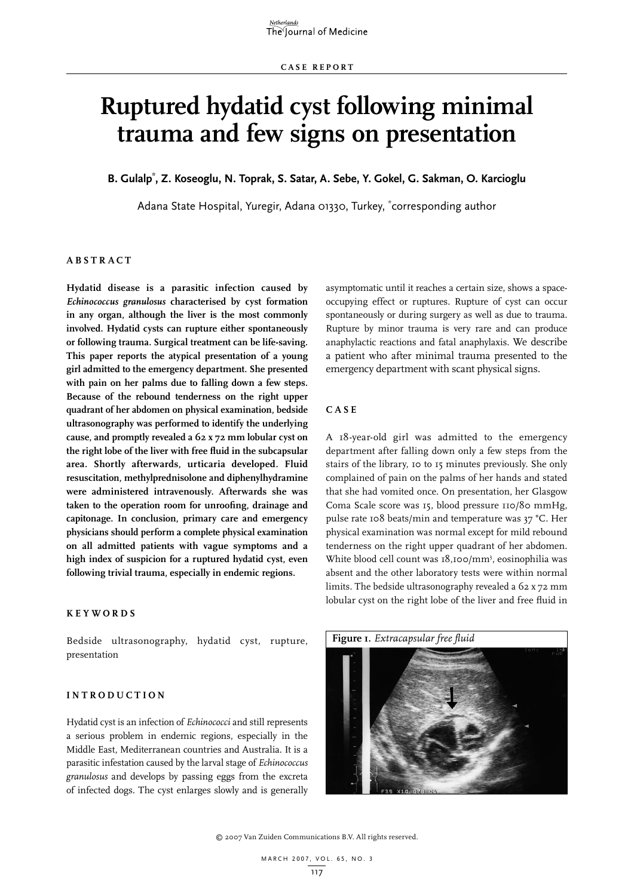# **Ruptured hydatid cyst following minimal trauma and few signs on presentation**

**B. Gulalp\* , Z. Koseoglu, N. Toprak, S. Satar, A. Sebe, Y. Gokel, G. Sakman, O. Karcioglu**

Adana State Hospital, Yuregir, Adana 01330, Turkey, \* corresponding author

### **A B S T R A C T**

**Hydatid disease is a parasitic infection caused by**  *Echinococcus granulosus* **characterised by cyst formation in any organ, although the liver is the most commonly involved. Hydatid cysts can rupture either spontaneously or following trauma. Surgical treatment can be life-saving. This paper reports the atypical presentation of a young girl admitted to the emergency department. She presented with pain on her palms due to falling down a few steps. Because of the rebound tenderness on the right upper quadrant of her abdomen on physical examination, bedside ultrasonography was performed to identify the underlying cause, and promptly revealed a 62 x 72 mm lobular cyst on the right lobe of the liver with free fluid in the subcapsular area. Shortly afterwards, urticaria developed. Fluid resuscitation, methylprednisolone and diphenylhydramine were administered intravenously. Afterwards she was taken to the operation room for unroofing, drainage and capitonage. In conclusion, primary care and emergency physicians should perform a complete physical examination on all admitted patients with vague symptoms and a high index of suspicion for a ruptured hydatid cyst, even following trivial trauma, especially in endemic regions.** 

### **K E Y WORDS**

Bedside ultrasonography, hydatid cyst, rupture, presentation

### **I N T RODU C T IO N**

Hydatid cyst is an infection of *Echinococci* and still represents a serious problem in endemic regions, especially in the Middle East, Mediterranean countries and Australia. It is a parasitic infestation caused by the larval stage of *Echinococcus granulosus* and develops by passing eggs from the excreta of infected dogs. The cyst enlarges slowly and is generally asymptomatic until it reaches a certain size, shows a spaceoccupying effect or ruptures. Rupture of cyst can occur spontaneously or during surgery as well as due to trauma. Rupture by minor trauma is very rare and can produce anaphylactic reactions and fatal anaphylaxis. We describe a patient who after minimal trauma presented to the emergency department with scant physical signs.

### **C A S E**

A 18-year-old girl was admitted to the emergency department after falling down only a few steps from the stairs of the library, 10 to 15 minutes previously. She only complained of pain on the palms of her hands and stated that she had vomited once. On presentation, her Glasgow Coma Scale score was 15, blood pressure 110/80 mmHg, pulse rate 108 beats/min and temperature was 37 °C. Her physical examination was normal except for mild rebound tenderness on the right upper quadrant of her abdomen. White blood cell count was 18,100/mm<sup>3</sup>, eosinophilia was absent and the other laboratory tests were within normal limits. The bedside ultrasonography revealed a 62 x 72 mm lobular cyst on the right lobe of the liver and free fluid in



© 2007 Van Zuiden Communications B.V. All rights reserved.